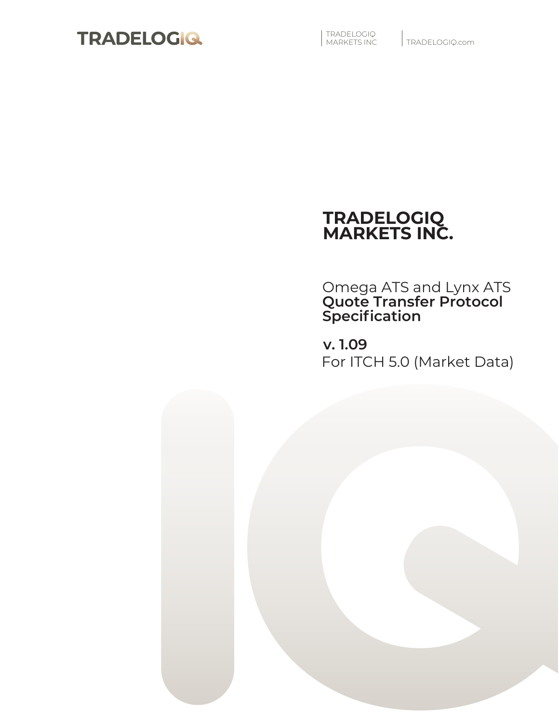

| TRADELOGIQ<br>| MARKETS INC

TRADELOGIQ.com

# **TRADELOGIQ MARKETS INC.**

Omega ATS and Lynx ATS **Quote Transfer Protocol Specification**

**v. 1.09** For ITCH 5.0 (Market Data)

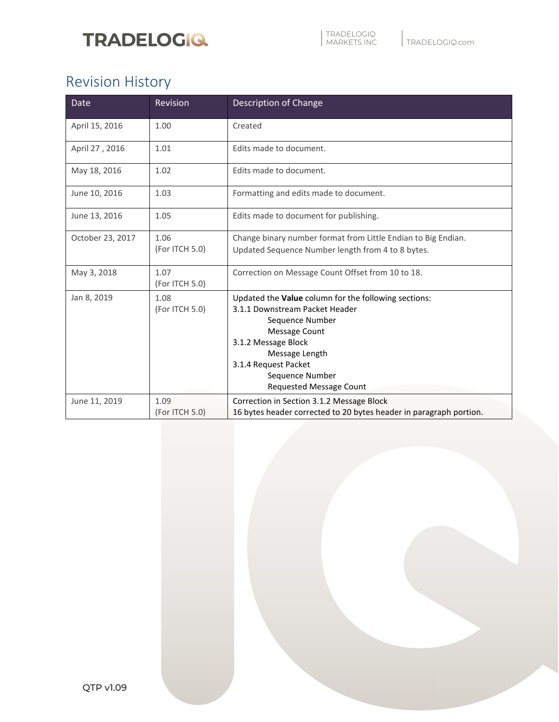# **TRADELOGIQ**

# Revision History

| <b>Date</b>      | Revision               | Description of Change                                                                                                                                                                                                                            |
|------------------|------------------------|--------------------------------------------------------------------------------------------------------------------------------------------------------------------------------------------------------------------------------------------------|
| April 15, 2016   | 1.00                   | Created                                                                                                                                                                                                                                          |
| April 27, 2016   | 1.01                   | Edits made to document.                                                                                                                                                                                                                          |
| May 18, 2016     | 1.02                   | Edits made to document.                                                                                                                                                                                                                          |
| June 10, 2016    | 1.03                   | Formatting and edits made to document.                                                                                                                                                                                                           |
| June 13, 2016    | 1.05                   | Edits made to document for publishing.                                                                                                                                                                                                           |
| October 23, 2017 | 1.06<br>(For ITCH 5.0) | Change binary number format from Little Endian to Big Endian.<br>Updated Sequence Number length from 4 to 8 bytes.                                                                                                                               |
| May 3, 2018      | 1.07<br>(For ITCH 5.0) | Correction on Message Count Offset from 10 to 18.                                                                                                                                                                                                |
| Jan 8, 2019      | 1.08<br>(For ITCH 5.0) | Updated the Value column for the following sections:<br>3.1.1 Downstream Packet Header<br>Sequence Number<br>Message Count<br>3.1.2 Message Block<br>Message Length<br>3.1.4 Request Packet<br>Sequence Number<br><b>Requested Message Count</b> |
| June 11, 2019    | 1.09<br>(For ITCH 5.0) | Correction in Section 3.1.2 Message Block<br>16 bytes header corrected to 20 bytes header in paragraph portion.                                                                                                                                  |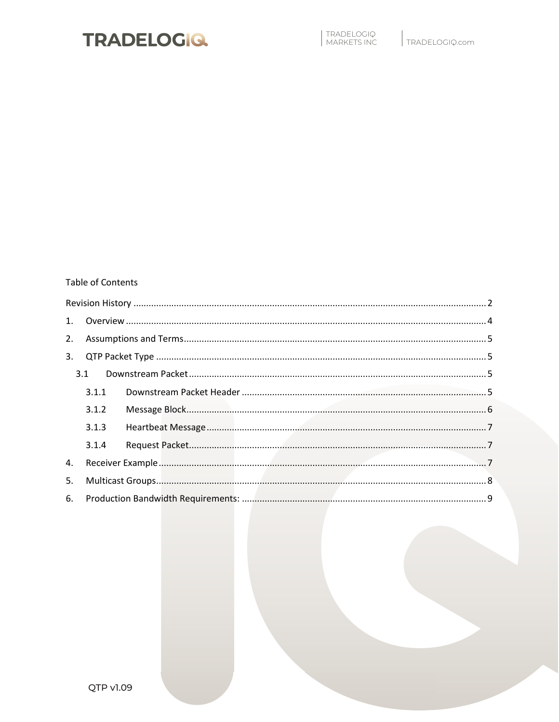

#### **Table of Contents**

| 1 <sup>1</sup> |       |  |
|----------------|-------|--|
| 2.             |       |  |
| 3.             |       |  |
|                | 3.1   |  |
|                | 3.1.1 |  |
|                |       |  |
|                | 3.1.2 |  |
|                | 3.1.3 |  |
|                | 3.1.4 |  |
| 4.             |       |  |
| 5.             |       |  |
| 6.             |       |  |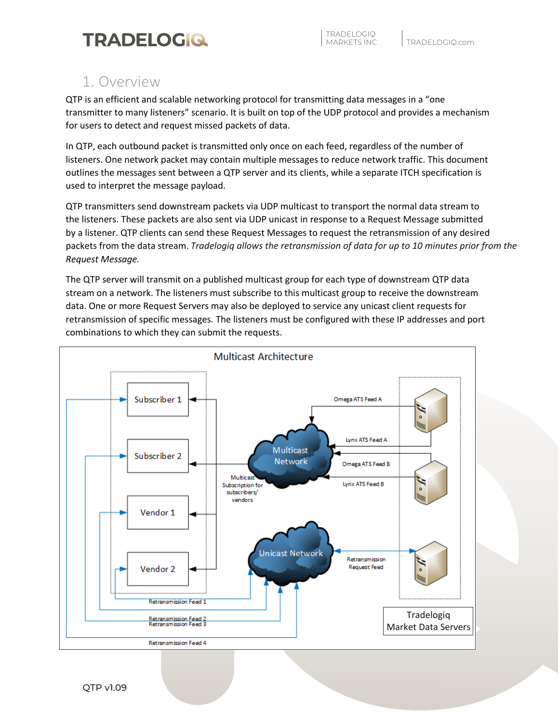## 1. Overview

QTP is an efficient and scalable networking protocol for transmitting data messages in a "one transmitter to many listeners" scenario. It is built on top of the UDP protocol and provides a mechanism for users to detect and request missed packets of data.

In QTP, each outbound packet is transmitted only once on each feed, regardless of the number of listeners. One network packet may contain multiple messages to reduce network traffic. This document outlines the messages sent between a QTP server and its clients, while a separate ITCH specification is used to interpret the message payload.

QTP transmitters send downstream packets via UDP multicast to transport the normal data stream to the listeners. These packets are also sent via UDP unicast in response to a Request Message submitted by a listener. QTP clients can send these Request Messages to request the retransmission of any desired packets from the data stream. *Tradelogiq allows the retransmission of data for up to 10 minutes prior from the Request Message.*

The QTP server will transmit on a published multicast group for each type of downstream QTP data stream on a network. The listeners must subscribe to this multicast group to receive the downstream data. One or more Request Servers may also be deployed to service any unicast client requests for retransmission of specific messages. The listeners must be configured with these IP addresses and port combinations to which they can submit the requests.

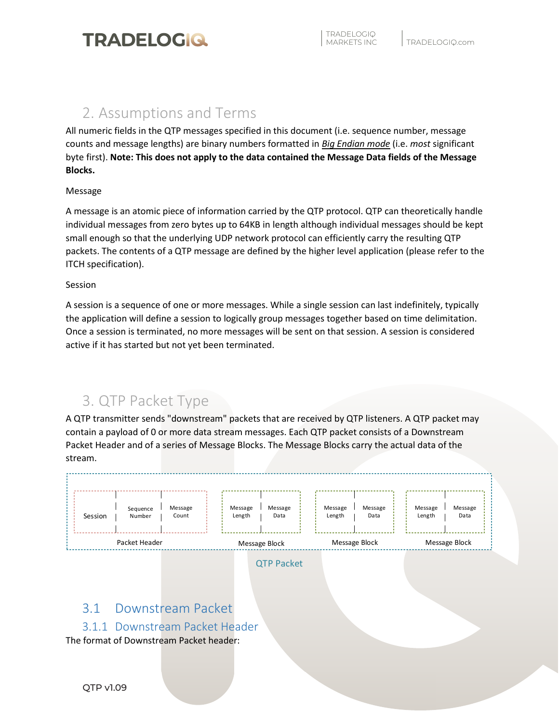

## 2. Assumptions and Terms

All numeric fields in the QTP messages specified in this document (i.e. sequence number, message counts and message lengths) are binary numbers formatted in *Big Endian mode* (i.e. *most* significant byte first). **Note: This does not apply to the data contained the Message Data fields of the Message Blocks.** 

#### Message

A message is an atomic piece of information carried by the QTP protocol. QTP can theoretically handle individual messages from zero bytes up to 64KB in length although individual messages should be kept small enough so that the underlying UDP network protocol can efficiently carry the resulting QTP packets. The contents of a QTP message are defined by the higher level application (please refer to the ITCH specification).

#### Session

A session is a sequence of one or more messages. While a single session can last indefinitely, typically the application will define a session to logically group messages together based on time delimitation. Once a session is terminated, no more messages will be sent on that session. A session is considered active if it has started but not yet been terminated.

# 3. QTP Packet Type

A QTP transmitter sends "downstream" packets that are received by QTP listeners. A QTP packet may contain a payload of 0 or more data stream messages. Each QTP packet consists of a Downstream Packet Header and of a series of Message Blocks. The Message Blocks carry the actual data of the stream.



133 Richmond Street West, Suite 302, Toronto, Ontario M5H 2L3

## 3.1 Downstream Packet

### 3.1.1 Downstream Packet Header

The format of Downstream Packet header: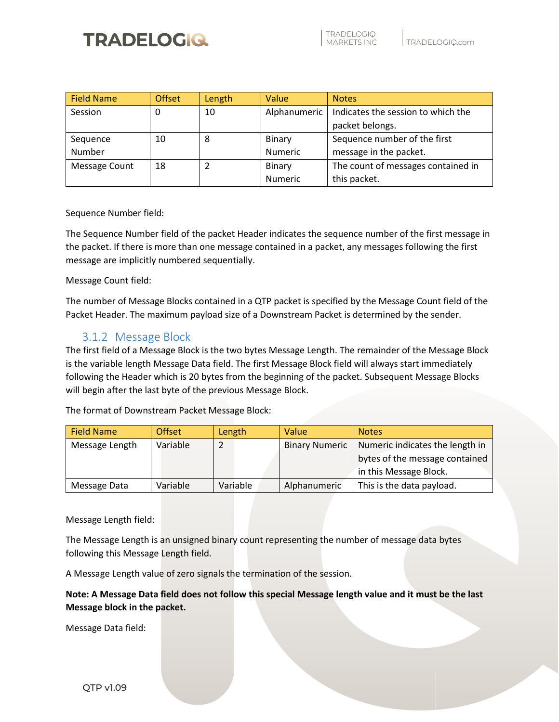# **TRADELOGIQ**

| <b>Field Name</b> | <b>Offset</b> | Length | Value        | <b>Notes</b>                       |
|-------------------|---------------|--------|--------------|------------------------------------|
| Session           | 0             | 10     | Alphanumeric | Indicates the session to which the |
|                   |               |        |              | packet belongs.                    |
| Sequence          | 10            | 8      | Binary       | Sequence number of the first       |
| Number            |               |        | Numeric      | message in the packet.             |
| Message Count     | 18            |        | Binary       | The count of messages contained in |
|                   |               |        | Numeric      | this packet.                       |

Sequence Number field:

The Sequence Number field of the packet Header indicates the sequence number of the first message in the packet. If there is more than one message contained in a packet, any messages following the first message are implicitly numbered sequentially.

Message Count field:

The number of Message Blocks contained in a QTP packet is specified by the Message Count field of the Packet Header. The maximum payload size of a Downstream Packet is determined by the sender.

### 3.1.2 Message Block

The first field of a Message Block is the two bytes Message Length. The remainder of the Message Block is the variable length Message Data field. The first Message Block field will always start immediately following the Header which is 20 bytes from the beginning of the packet. Subsequent Message Blocks will begin after the last byte of the previous Message Block.

The format of Downstream Packet Message Block:

| <b>Field Name</b> | <b>Offset</b> | Length   | Value                 | <b>Notes</b>                    |
|-------------------|---------------|----------|-----------------------|---------------------------------|
| Message Length    | Variable      |          | <b>Binary Numeric</b> | Numeric indicates the length in |
|                   |               |          |                       | bytes of the message contained  |
|                   |               |          |                       | in this Message Block.          |
| Message Data      | Variable      | Variable | Alphanumeric          | This is the data payload.       |

Message Length field:

The Message Length is an unsigned binary count representing the number of message data bytes following this Message Length field.

A Message Length value of zero signals the termination of the session.

**Note: A Message Data field does not follow this special Message length value and it must be the last Message block in the packet.**

133 Richmond Street West, Suite 302, Toronto, Ontario M5H 2L3

Message Data field: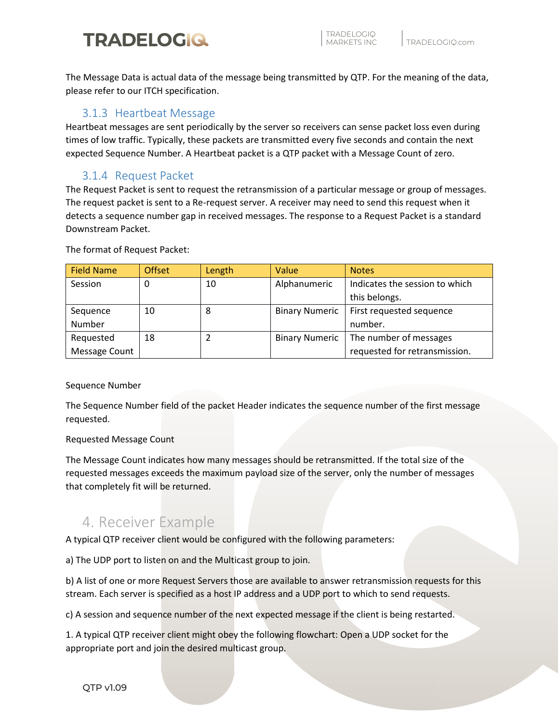# **TRADELOGIQ**

The Message Data is actual data of the message being transmitted by QTP. For the meaning of the data, please refer to our ITCH specification.

## 3.1.3 Heartbeat Message

Heartbeat messages are sent periodically by the server so receivers can sense packet loss even during times of low traffic. Typically, these packets are transmitted every five seconds and contain the next expected Sequence Number. A Heartbeat packet is a QTP packet with a Message Count of zero.

## 3.1.4 Request Packet

The Request Packet is sent to request the retransmission of a particular message or group of messages. The request packet is sent to a Re-request server. A receiver may need to send this request when it detects a sequence number gap in received messages. The response to a Request Packet is a standard Downstream Packet.

The format of Request Packet:

| <b>Field Name</b> | Offset | Length | Value                 | <b>Notes</b>                   |
|-------------------|--------|--------|-----------------------|--------------------------------|
| Session           | 0      | 10     | Alphanumeric          | Indicates the session to which |
|                   |        |        |                       | this belongs.                  |
| Sequence          | 10     | 8      | <b>Binary Numeric</b> | First requested sequence       |
| Number            |        |        |                       | number.                        |
| Requested         | 18     |        | <b>Binary Numeric</b> | The number of messages         |
| Message Count     |        |        |                       | requested for retransmission.  |

### Sequence Number

The Sequence Number field of the packet Header indicates the sequence number of the first message requested.

### Requested Message Count

The Message Count indicates how many messages should be retransmitted. If the total size of the requested messages exceeds the maximum payload size of the server, only the number of messages that completely fit will be returned.

## 4. Receiver Example

A typical QTP receiver client would be configured with the following parameters:

a) The UDP port to listen on and the Multicast group to join.

b) A list of one or more Request Servers those are available to answer retransmission requests for this stream. Each server is specified as a host IP address and a UDP port to which to send requests.

133 Richmond Street West, Suite 302, Toronto, Ontario M5H 2L3

c) A session and sequence number of the next expected message if the client is being restarted.

1. A typical QTP receiver client might obey the following flowchart: Open a UDP socket for the appropriate port and join the desired multicast group.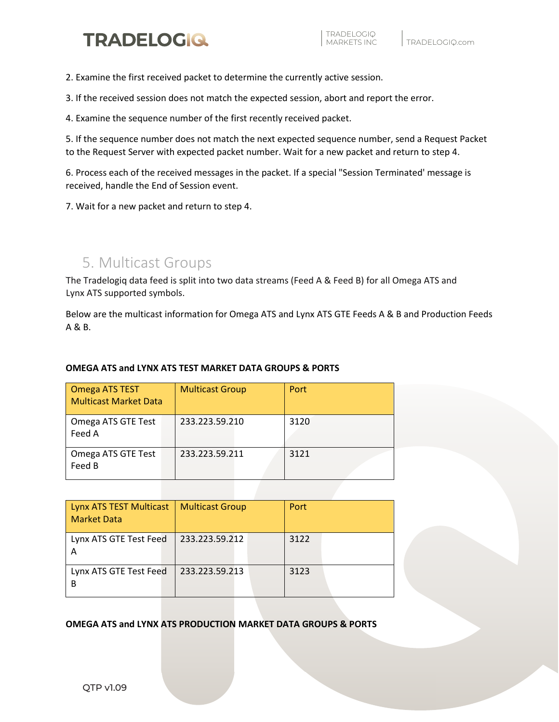

2. Examine the first received packet to determine the currently active session.

3. If the received session does not match the expected session, abort and report the error.

4. Examine the sequence number of the first recently received packet.

5. If the sequence number does not match the next expected sequence number, send a Request Packet to the Request Server with expected packet number. Wait for a new packet and return to step 4.

6. Process each of the received messages in the packet. If a special "Session Terminated' message is received, handle the End of Session event.

7. Wait for a new packet and return to step 4.

## 5. Multicast Groups

The Tradelogiq data feed is split into two data streams (Feed A & Feed B) for all Omega ATS and Lynx ATS supported symbols.

Below are the multicast information for Omega ATS and Lynx ATS GTE Feeds A & B and Production Feeds A & B.

#### **OMEGA ATS and LYNX ATS TEST MARKET DATA GROUPS & PORTS**

| Omega ATS TEST<br><b>Multicast Market Data</b> | <b>Multicast Group</b> | Port |
|------------------------------------------------|------------------------|------|
| Omega ATS GTE Test<br>Feed A                   | 233.223.59.210         | 3120 |
| Omega ATS GTE Test<br>Feed B                   | 233.223.59.211         | 3121 |

| Lynx ATS TEST Multicast<br><b>Market Data</b> | <b>Multicast Group</b> | Port |
|-----------------------------------------------|------------------------|------|
| Lynx ATS GTE Test Feed                        | 233.223.59.212         | 3122 |
| Lynx ATS GTE Test Feed                        | 233.223.59.213         | 3123 |

**OMEGA ATS and LYNX ATS PRODUCTION MARKET DATA GROUPS & PORTS**